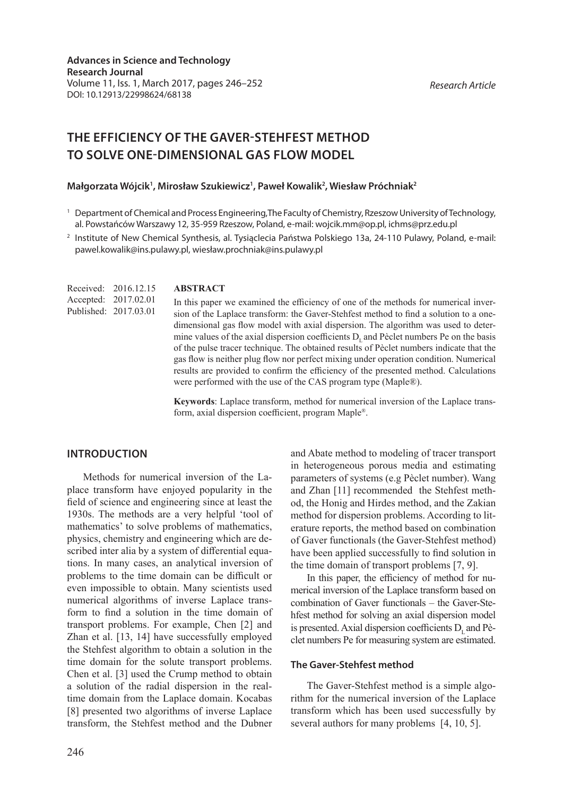*Research Article*

# **THE EFFICIENCY OF THE GAVER-STEHFEST METHOD TO SOLVE ONE-DIMENSIONAL GAS FLOW MODEL**

## Małgorzata Wójcik<sup>1</sup>, Mirosław Szukiewicz<sup>1</sup>, Paweł Kowalik<sup>2</sup>, Wiesław Próchniak<sup>2</sup>

<sup>2</sup> Institute of New Chemical Synthesis, al. Tysiąclecia Państwa Polskiego 13a, 24-110 Pulawy, Poland, e-mail: pawel.kowalik@ins.pulawy.pl, wiesław.prochniak@ins.pulawy.pl

|                       | Received: 2016.12.15 |
|-----------------------|----------------------|
| Accepted: 2017.02.01  |                      |
| Published: 2017.03.01 |                      |

#### **ABSTRACT**

In this paper we examined the efficiency of one of the methods for numerical inversion of the Laplace transform: the Gaver-Stehfest method to find a solution to a onedimensional gas flow model with axial dispersion. The algorithm was used to determine values of the axial dispersion coefficients  $D<sub>r</sub>$  and Pèclet numbers Pe on the basis of the pulse tracer technique. The obtained results of Pèclet numbers indicate that the gas flow is neither plug flow nor perfect mixing under operation condition. Numerical results are provided to confirm the efficiency of the presented method. Calculations were performed with the use of the CAS program type (Maple®).

**Keywords**: Laplace transform, method for numerical inversion of the Laplace transform, axial dispersion coefficient, program Maple®.

## **INTRODUCTION**

Methods for numerical inversion of the Laplace transform have enjoyed popularity in the field of science and engineering since at least the 1930s. The methods are a very helpful 'tool of mathematics' to solve problems of mathematics, physics, chemistry and engineering which are described inter alia by a system of differential equations. In many cases, an analytical inversion of problems to the time domain can be difficult or even impossible to obtain. Many scientists used numerical algorithms of inverse Laplace transform to find a solution in the time domain of transport problems. For example, Chen [2] and Zhan et al. [13, 14] have successfully employed the Stehfest algorithm to obtain a solution in the time domain for the solute transport problems. Chen et al. [3] used the Crump method to obtain a solution of the radial dispersion in the realtime domain from the Laplace domain. Kocabas [8] presented two algorithms of inverse Laplace transform, the Stehfest method and the Dubner

246

and Abate method to modeling of tracer transport in heterogeneous porous media and estimating parameters of systems (e.g Pèclet number). Wang and Zhan [11] recommended the Stehfest method, the Honig and Hirdes method, and the Zakian method for dispersion problems. According to literature reports, the method based on combination of Gaver functionals (the Gaver-Stehfest method) have been applied successfully to find solution in the time domain of transport problems [7, 9].

In this paper, the efficiency of method for numerical inversion of the Laplace transform based on combination of Gaver functionals – the Gaver-Stehfest method for solving an axial dispersion model is presented. Axial dispersion coefficients D, and Pèclet numbers Pe for measuring system are estimated.

#### **The Gaver-Stehfest method**

The Gaver-Stehfest method is a simple algorithm for the numerical inversion of the Laplace transform which has been used successfully by several authors for many problems [4, 10, 5].

<sup>1</sup> Department of Chemical and Process Engineering,The Faculty of Chemistry, Rzeszow University of Technology, al. Powstańców Warszawy 12, 35-959 Rzeszow, Poland, e-mail: wojcik.mm@op.pl, ichms@prz.edu.pl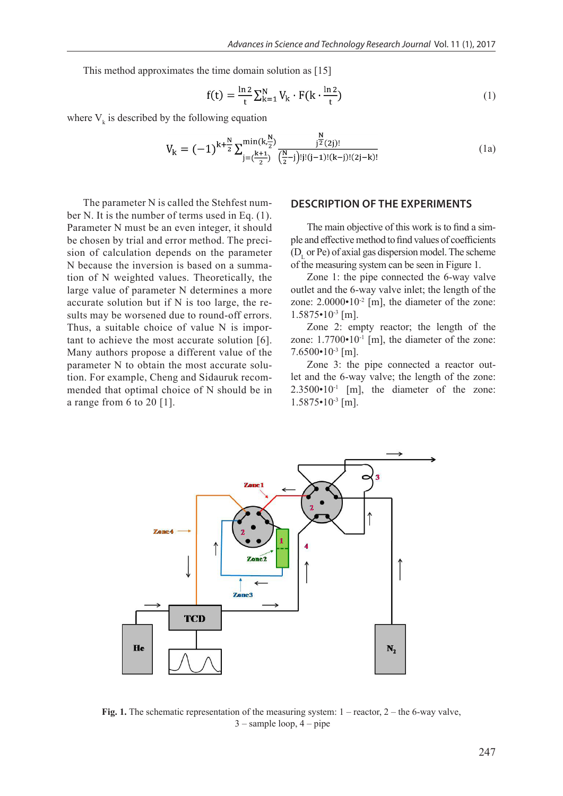This method approximates the time domain solution as [15]

$$
f(t) = \frac{\ln 2}{t} \sum_{k=1}^{N} V_k \cdot F(k \cdot \frac{\ln 2}{t})
$$
\n(1)

where  $V_k$  is described by the following equation

$$
V_{k} = (-1)^{k + \frac{N}{2}} \sum_{j = (\frac{k+1}{2})}^{\min(k, \frac{N}{2})} \frac{j^{2}(2j)!}{(\frac{N}{2} - j)! (j-1)! (k-j)! (2j-k)!}
$$
(1a)

The parameter N is called the Stehfest number N. It is the number of terms used in Eq. (1). Parameter N must be an even integer, it should be chosen by trial and error method. The precision of calculation depends on the parameter N because the inversion is based on a summation of N weighted values. Theoretically, the large value of parameter N determines a more accurate solution but if N is too large, the results may be worsened due to round-off errors. Thus, a suitable choice of value N is important to achieve the most accurate solution [6]. Many authors propose a different value of the parameter N to obtain the most accurate solution. For example, Cheng and Sidauruk recommended that optimal choice of N should be in a range from 6 to 20 [1].

# **DESCRIPTION OF THE EXPERIMENTS**

The main objective of this work is to find a simple and effective method to find values of coefficients  $(D<sub>L</sub>$  or Pe) of axial gas dispersion model. The scheme of the measuring system can be seen in Figure 1.

Zone 1: the pipe connected the 6-way valve outlet and the 6-way valve inlet; the length of the zone:  $2.0000 \cdot 10^{-2}$  [m], the diameter of the zone:  $1.5875 \cdot 10^{-3}$  [m].

Zone 2: empty reactor; the length of the zone:  $1.7700 \cdot 10^{-1}$  [m], the diameter of the zone:  $7.6500 \cdot 10^{-3}$  [m].

Zone 3: the pipe connected a reactor outlet and the 6-way valve; the length of the zone:  $2.3500 \cdot 10^{-1}$  [m], the diameter of the zone:  $1.5875 \cdot 10^{-3}$  [m].



**Fig. 1.** The schematic representation of the measuring system:  $1 -$  reactor,  $2 -$  the 6-way valve, 3 – sample loop, 4 – pipe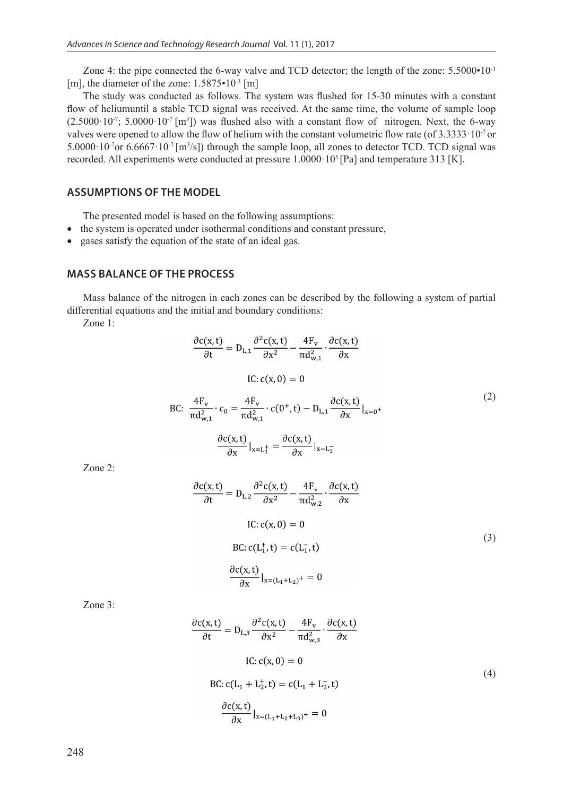Zone 4: the pipe connected the 6-way valve and TCD detector; the length of the zone: 5.5000•10<sup>-1</sup> [m], the diameter of the zone:  $1.5875 \cdot 10^{-3}$  [m]

The study was conducted as follows. The system was flushed for 15-30 minutes with a constant flow of heliumuntil a stable TCD signal was received. At the same time, the volume of sample loop  $(2.5000 \cdot 10^{-7}; 5.0000 \cdot 10^{-7} [m^3])$  was flushed also with a constant flow of nitrogen. Next, the 6-way valves were opened to allow the flow of helium with the constant volumetric flow rate (of  $3.3333 \cdot 10^{-7}$  or 5.0000 $\cdot$ 10<sup>-7</sup>or 6.6667 $\cdot$ 10<sup>-7</sup> [m<sup>3</sup>/s]) through the sample loop, all zones to detector TCD. TCD signal was recorded. All experiments were conducted at pressure 1.0000 $\cdot 10^5$  [Pa] and temperature 313 [K].

# **ASSUMPTIONS OF THE MODEL**

The presented model is based on the following assumptions:

- the system is operated under isothermal conditions and constant pressure,
- gases satisfy the equation of the state of an ideal gas.

BC:

# **MASS BALANCE OF THE PROCESS**

Mass balance of the nitrogen in each zones can be described by the following a system of partial differential equations and the initial and boundary conditions:

Zone 1:

$$
\frac{\partial c(x,t)}{\partial t} = D_{L,1} \frac{\partial^2 c(x,t)}{\partial x^2} - \frac{4F_v}{\pi d_{w,1}^2} \cdot \frac{\partial c(x,t)}{\partial x}
$$
  
IC:  $c(x, 0) = 0$   

$$
\frac{4F_v}{\pi d_{w,1}^2} \cdot c_0 = \frac{4F_v}{\pi d_{w,1}^2} \cdot c(0^+, t) - D_{L,1} \frac{\partial c(x,t)}{\partial x} |_{x=0^+}
$$
(2)

$$
\frac{\partial c(x,t)}{\partial x}\big|_{x=L_1^+} = \frac{\partial c(x,t)}{\partial x}\big|_{x=L_1^-}
$$

Zone 2:

$$
\frac{\partial c(x,t)}{\partial t} = D_{L,2} \frac{\partial^2 c(x,t)}{\partial x^2} - \frac{4F_v}{\pi d_{w,2}^2} \cdot \frac{\partial c(x,t)}{\partial x}
$$
  
IC:  $c(x, 0) = 0$   
BC:  $c(L_1^+, t) = c(L_1^-, t)$   

$$
\frac{\partial c(x,t)}{\partial x}|_{x=(L_1+L_2)^+} = 0
$$
 (3)

Zone 3:

$$
\frac{\partial c(x,t)}{\partial t} = D_{L,3} \frac{\partial^2 c(x,t)}{\partial x^2} - \frac{4F_v}{\pi d_{w,3}^2} \cdot \frac{\partial c(x,t)}{\partial x}
$$
  
IC:  $c(x, 0) = 0$   
BC:  $c(L_1 + L_2^+, t) = c(L_1 + L_2^-, t)$   

$$
\frac{\partial c(x,t)}{\partial x}|_{x=(L_1 + L_2 + L_3)^+} = 0
$$
 (4)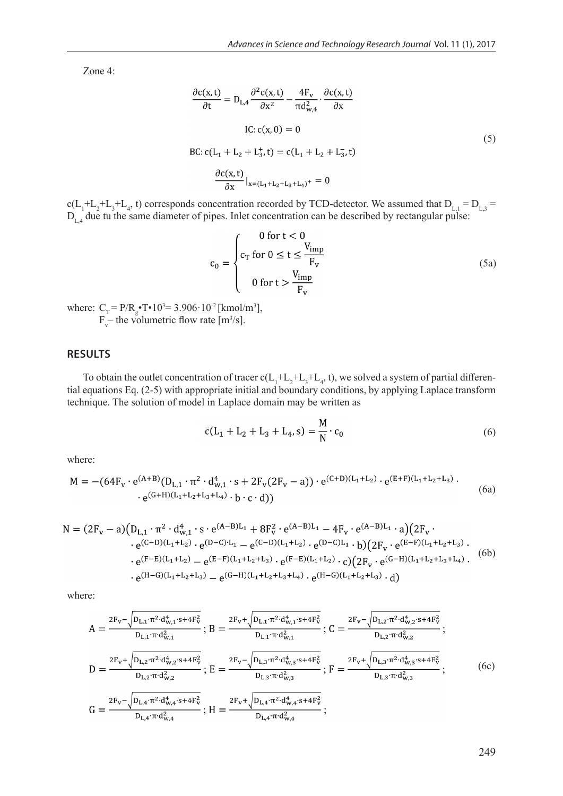Zone 4:

$$
\frac{\partial c(x,t)}{\partial t} = D_{L,4} \frac{\partial^2 c(x,t)}{\partial x^2} - \frac{4F_v}{\pi d_{w,4}^2} \cdot \frac{\partial c(x,t)}{\partial x}
$$
  
IC:  $c(x, 0) = 0$   
BC:  $c(L_1 + L_2 + L_3^+, t) = c(L_1 + L_2 + L_3^-, t)$   

$$
\frac{\partial c(x,t)}{\partial x}|_{x=(L_1 + L_2 + L_3 + L_4)^+} = 0
$$
 (5)

 $c(L_1^+L_2^+L_3^+L_4^+)$  corresponds concentration recorded by TCD-detector. We assumed that  $D_{L,1} = D_{L,3} =$  $D_{L4}$  due tu the same diameter of pipes. Inlet concentration can be described by rectangular pulse:

$$
c_0 = \begin{cases} 0 \text{ for } t < 0\\ c_T \text{ for } 0 \le t \le \frac{V_{imp}}{F_v} \\ 0 \text{ for } t > \frac{V_{imp}}{F_v} \end{cases}
$$
(5a)

where:  $C_T = P/R_g \cdot T \cdot 10^{3} = 3.906 \cdot 10^{-2}$  [kmol/m<sup>3</sup>],  $F_v$  the volumetric flow rate [m<sup>3</sup>/s].

## **RESULTS**

To obtain the outlet concentration of tracer  $c(L_1^+L_2^+L_3^+L_4^-,t)$ , we solved a system of partial differential equations Eq. (2-5) with appropriate initial and boundary conditions, by applying Laplace transform technique. The solution of model in Laplace domain may be written as

$$
\bar{c}(L_1 + L_2 + L_3 + L_4, s) = \frac{M}{N} \cdot c_0
$$
\n(6)

where:

$$
M = -(64F_v \cdot e^{(A+B)}(D_{L,1} \cdot \pi^2 \cdot d_{w,1}^4 \cdot s + 2F_v(2F_v - a)) \cdot e^{(C+D)(L_1 + L_2)} \cdot e^{(E+F)(L_1 + L_2 + L_3)} \cdot e^{(G+H)(L_1 + L_2 + L_3 + L_4)} \cdot b \cdot c \cdot d)
$$
\n(6a)

$$
N = (2F_v - a)(D_{L,1} \cdot \pi^2 \cdot d_{w,1}^4 \cdot s \cdot e^{(A-B)L_1} + 8F_v^2 \cdot e^{(A-B)L_1} - 4F_v \cdot e^{(A-B)L_1} \cdot a)(2F_v \cdot e^{(C-D)(L_1+L_2)} \cdot e^{(D-C)L_1} - e^{(C-D)(L_1+L_2)} \cdot e^{(D-C)L_1} \cdot b)(2F_v \cdot e^{(E-F)(L_1+L_2+L_3)} \cdot e^{(F-E)(L_1+L_2)} - e^{(E-F)(L_1+L_2+L_3)} \cdot e^{(F-E)(L_1+L_2)} \cdot c)(2F_v \cdot e^{(G-H)(L_1+L_2+L_3+L_4)} \cdot (6b) + e^{(H-G)(L_1+L_2+L_3)} - e^{(G-H)(L_1+L_2+L_3+L_4)} \cdot e^{(H-G)(L_1+L_2+L_3)} \cdot d)
$$

where:

$$
A = \frac{2F_{v} - \sqrt{D_{L,1} \cdot \pi^{2} \cdot d_{w,1}^{4} \cdot s + 4F_{v}^{2}}}{D_{L,1} \cdot \pi \cdot d_{w,1}^{2}}; B = \frac{2F_{v} + \sqrt{D_{L,1} \cdot \pi^{2} \cdot d_{w,1}^{4} \cdot s + 4F_{v}^{2}}}{D_{L,1} \cdot \pi \cdot d_{w,1}^{2}}; C = \frac{2F_{v} - \sqrt{D_{L,2} \cdot \pi^{2} \cdot d_{w,2}^{4} \cdot s + 4F_{v}^{2}}}{D_{L,2} \cdot \pi \cdot d_{w,2}^{2}}; D = \frac{2F_{v} + \sqrt{D_{L,2} \cdot \pi^{2} \cdot d_{w,2}^{4} \cdot s + 4F_{v}^{2}}}{D_{L,2} \cdot \pi \cdot d_{w,2}^{2}}; E = \frac{2F_{v} - \sqrt{D_{L,3} \cdot \pi^{2} \cdot d_{w,3}^{4} \cdot s + 4F_{v}^{2}}}{D_{L,3} \cdot \pi \cdot d_{w,3}^{2}}; F = \frac{2F_{v} + \sqrt{D_{L,3} \cdot \pi^{2} \cdot d_{w,3}^{4} \cdot s + 4F_{v}^{2}}}{D_{L,3} \cdot \pi \cdot d_{w,3}^{2}}; G = \frac{2F_{v} - \sqrt{D_{L,4} \cdot \pi^{2} \cdot d_{w,4}^{4} \cdot s + 4F_{v}^{2}}}{D_{L,4} \cdot \pi \cdot d_{w,4}^{2}}; H = \frac{2F_{v} + \sqrt{D_{L,4} \cdot \pi^{2} \cdot d_{w,4}^{4} \cdot s + 4F_{v}^{2}}}{D_{L,4} \cdot \pi \cdot d_{w,4}^{2}};}
$$
(6c)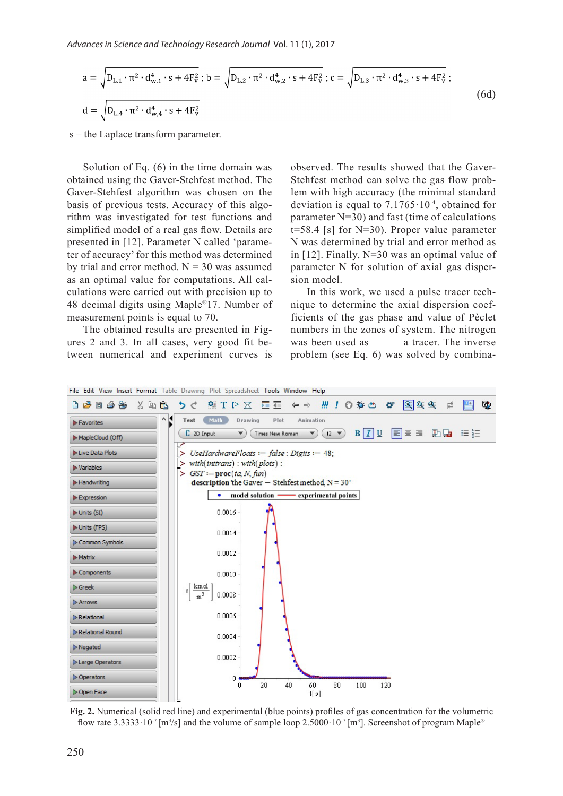$$
a = \sqrt{D_{L,1} \cdot \pi^2 \cdot d_{w,1}^4 \cdot s + 4F_v^2}; b = \sqrt{D_{L,2} \cdot \pi^2 \cdot d_{w,2}^4 \cdot s + 4F_v^2}; c = \sqrt{D_{L,3} \cdot \pi^2 \cdot d_{w,3}^4 \cdot s + 4F_v^2};
$$
  
\n
$$
d = \sqrt{D_{L,4} \cdot \pi^2 \cdot d_{w,4}^4 \cdot s + 4F_v^2}
$$
\n(6d)

s – the Laplace transform parameter.

Solution of Eq. (6) in the time domain was obtained using the Gaver-Stehfest method. The Gaver-Stehfest algorithm was chosen on the basis of previous tests. Accuracy of this algorithm was investigated for test functions and simplified model of a real gas flow. Details are presented in [12]. Parameter N called 'parameter of accuracy' for this method was determined by trial and error method.  $N = 30$  was assumed as an optimal value for computations. All calculations were carried out with precision up to 48 decimal digits using Maple®17. Number of measurement points is equal to 70.

The obtained results are presented in Figures 2 and 3. In all cases, very good fit between numerical and experiment curves is

observed. The results showed that the Gaver-Stehfest method can solve the gas flow problem with high accuracy (the minimal standard deviation is equal to  $7.1765 \cdot 10^{-4}$ , obtained for parameter N=30) and fast (time of calculations  $t=58.4$  [s] for N=30). Proper value parameter N was determined by trial and error method as in [12]. Finally, N=30 was an optimal value of parameter N for solution of axial gas dispersion model.

In this work, we used a pulse tracer technique to determine the axial dispersion coefficients of the gas phase and value of Pèclet numbers in the zones of system. The nitrogen was been used as a tracer. The inverse problem (see Eq. 6) was solved by combina-



**Fig. 2.** Numerical (solid red line) and experimental (blue points) profiles of gas concentration for the volumetric flow rate  $3.3333 \cdot 10^{-7}$  [m<sup>3</sup>/s] and the volume of sample loop  $2.5000 \cdot 10^{-7}$  [m<sup>3</sup>]. Screenshot of program Maple<sup>®</sup>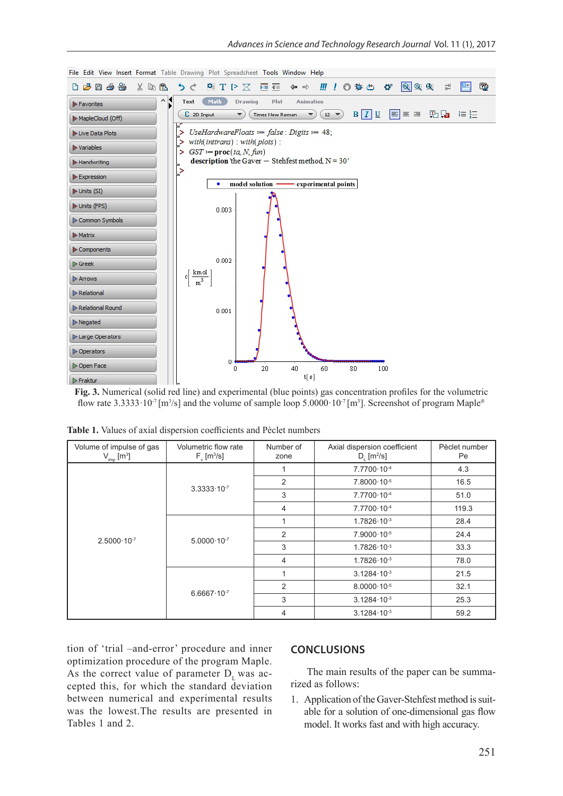

**Fig. 3.** Numerical (solid red line) and experimental (blue points) gas concentration profiles for the volumetric flow rate  $3.3333 \cdot 10^{-7}$  [m<sup>3</sup>/s] and the volume of sample loop  $5.0000 \cdot 10^{-7}$  [m<sup>3</sup>]. Screenshot of program Maple<sup>®</sup>

| Volume of impulse of gas<br>$V_{\text{imp}}$ [m <sup>3</sup> ] | Volumetric flow rate<br>$F_{v}$ [m <sup>3</sup> /s] | Number of<br>zone | Axial dispersion coefficient<br>$D_{1}$ [m <sup>2</sup> /s] | Pèclet number<br>Pe |
|----------------------------------------------------------------|-----------------------------------------------------|-------------------|-------------------------------------------------------------|---------------------|
| $2.5000 \cdot 10^{-7}$                                         | $3.3333 \cdot 10^{-7}$                              |                   | 7.7700.10-4                                                 | 4.3                 |
|                                                                |                                                     | 2                 | $7.8000 \cdot 10^{-5}$                                      | 16.5                |
|                                                                |                                                     | 3                 | 7.7700.10-4                                                 | 51.0                |
|                                                                |                                                     | 4                 | $7.7700 \cdot 10^{-4}$                                      | 119.3               |
|                                                                | $5.0000 \cdot 10^{-7}$                              |                   | $1.7826 \cdot 10^{-3}$                                      | 28.4                |
|                                                                |                                                     | 2                 | $7.9000 \cdot 10^{-5}$                                      | 24.4                |
|                                                                |                                                     | 3                 | $1.7826 \cdot 10^{-3}$                                      | 33.3                |
|                                                                |                                                     | 4                 | $1.7826 \cdot 10^{-3}$                                      | 78.0                |
|                                                                | $6.6667 \cdot 10^{-7}$                              |                   | $3.1284 \cdot 10^{-3}$                                      | 21.5                |
|                                                                |                                                     | 2                 | $8.0000 \cdot 10^{-5}$                                      | 32.1                |
|                                                                |                                                     | 3                 | $3.1284 \cdot 10^{-3}$                                      | 25.3                |
|                                                                |                                                     | 4                 | $3.1284 \cdot 10^{-3}$                                      | 59.2                |

|  |  |  |  | <b>Table 1.</b> Values of axial dispersion coefficients and Pèclet numbers |  |  |  |
|--|--|--|--|----------------------------------------------------------------------------|--|--|--|
|--|--|--|--|----------------------------------------------------------------------------|--|--|--|

tion of 'trial –and-error' procedure and inner optimization procedure of the program Maple. As the correct value of parameter  $D_1$  was accepted this, for which the standard deviation between numerical and experimental results was the lowest.The results are presented in Tables 1 and 2.

## **CONCLUSIONS**

The main results of the paper can be summarized as follows:

1. Application of the Gaver-Stehfest method is suitable for a solution of one-dimensional gas flow model. It works fast and with high accuracy.